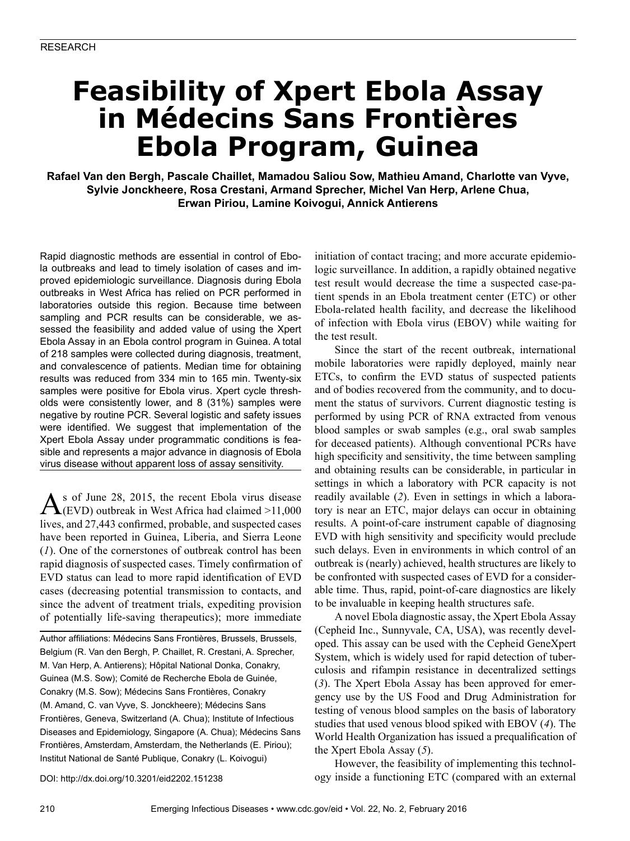### **Feasibility of Xpert Ebola Assay in Médecins Sans Frontières Ebola Program, Guinea**

**Rafael Van den Bergh, Pascale Chaillet, Mamadou Saliou Sow, Mathieu Amand, Charlotte van Vyve, Sylvie Jonckheere, Rosa Crestani, Armand Sprecher, Michel Van Herp, Arlene Chua, Erwan Piriou, Lamine Koivogui, Annick Antierens**

Rapid diagnostic methods are essential in control of Ebola outbreaks and lead to timely isolation of cases and improved epidemiologic surveillance. Diagnosis during Ebola outbreaks in West Africa has relied on PCR performed in laboratories outside this region. Because time between sampling and PCR results can be considerable, we assessed the feasibility and added value of using the Xpert Ebola Assay in an Ebola control program in Guinea. A total of 218 samples were collected during diagnosis, treatment, and convalescence of patients. Median time for obtaining results was reduced from 334 min to 165 min. Twenty-six samples were positive for Ebola virus. Xpert cycle thresholds were consistently lower, and 8 (31%) samples were negative by routine PCR. Several logistic and safety issues were identified. We suggest that implementation of the Xpert Ebola Assay under programmatic conditions is feasible and represents a major advance in diagnosis of Ebola virus disease without apparent loss of assay sensitivity.

 $\mathbf{A}$ s of June 28, 2015, the recent Ebola virus disease<br>
(EVD) outbreak in West Africa had claimed >11,000 lives, and 27,443 confirmed, probable, and suspected cases have been reported in Guinea, Liberia, and Sierra Leone (*1*). One of the cornerstones of outbreak control has been rapid diagnosis of suspected cases. Timely confirmation of EVD status can lead to more rapid identification of EVD cases (decreasing potential transmission to contacts, and since the advent of treatment trials, expediting provision of potentially life-saving therapeutics); more immediate

Author affiliations: Médecins Sans Frontières, Brussels, Brussels, Belgium (R. Van den Bergh, P. Chaillet, R. Crestani, A. Sprecher, M. Van Herp, A. Antierens); Hôpital National Donka, Conakry, Guinea (M.S. Sow); Comité de Recherche Ebola de Guinée, Conakry (M.S. Sow); Médecins Sans Frontières, Conakry (M. Amand, C. van Vyve, S. Jonckheere); Médecins Sans Frontières, Geneva, Switzerland (A. Chua); Institute of Infectious Diseases and Epidemiology, Singapore (A. Chua); Médecins Sans Frontières, Amsterdam, Amsterdam, the Netherlands (E. Piriou); Institut National de Santé Publique, Conakry (L. Koivogui)

initiation of contact tracing; and more accurate epidemiologic surveillance. In addition, a rapidly obtained negative test result would decrease the time a suspected case-patient spends in an Ebola treatment center (ETC) or other Ebola-related health facility, and decrease the likelihood of infection with Ebola virus (EBOV) while waiting for the test result.

Since the start of the recent outbreak, international mobile laboratories were rapidly deployed, mainly near ETCs, to confirm the EVD status of suspected patients and of bodies recovered from the community, and to document the status of survivors. Current diagnostic testing is performed by using PCR of RNA extracted from venous blood samples or swab samples (e.g., oral swab samples for deceased patients). Although conventional PCRs have high specificity and sensitivity, the time between sampling and obtaining results can be considerable, in particular in settings in which a laboratory with PCR capacity is not readily available (*2*). Even in settings in which a laboratory is near an ETC, major delays can occur in obtaining results. A point-of-care instrument capable of diagnosing EVD with high sensitivity and specificity would preclude such delays. Even in environments in which control of an outbreak is (nearly) achieved, health structures are likely to be confronted with suspected cases of EVD for a considerable time. Thus, rapid, point-of-care diagnostics are likely to be invaluable in keeping health structures safe.

A novel Ebola diagnostic assay, the Xpert Ebola Assay (Cepheid Inc., Sunnyvale, CA, USA), was recently developed. This assay can be used with the Cepheid GeneXpert System, which is widely used for rapid detection of tuberculosis and rifampin resistance in decentralized settings (*3*). The Xpert Ebola Assay has been approved for emergency use by the US Food and Drug Administration for testing of venous blood samples on the basis of laboratory studies that used venous blood spiked with EBOV (*4*). The World Health Organization has issued a prequalification of the Xpert Ebola Assay (*5*).

However, the feasibility of implementing this technology inside a functioning ETC (compared with an external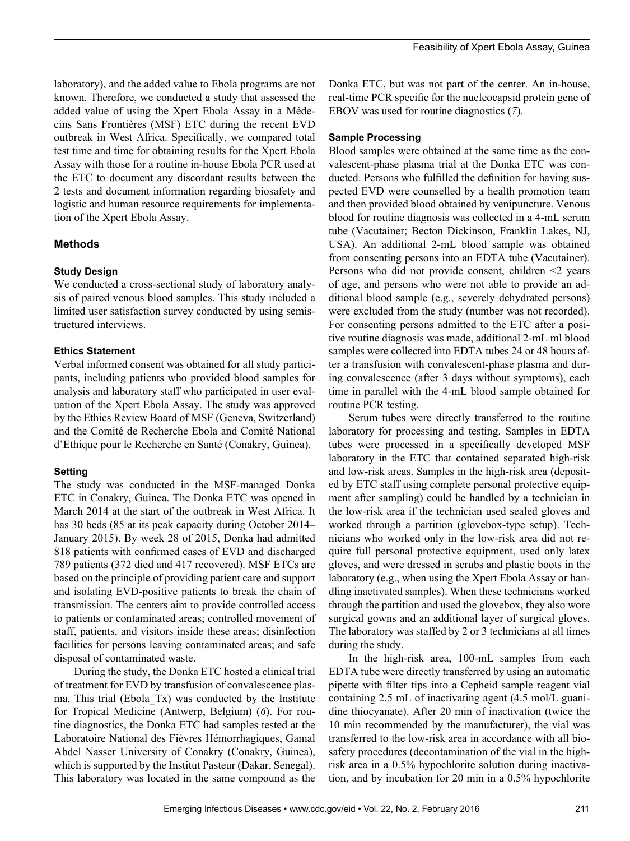laboratory), and the added value to Ebola programs are not known. Therefore, we conducted a study that assessed the added value of using the Xpert Ebola Assay in a Médecins Sans Frontières (MSF) ETC during the recent EVD outbreak in West Africa. Specifically, we compared total test time and time for obtaining results for the Xpert Ebola Assay with those for a routine in-house Ebola PCR used at the ETC to document any discordant results between the 2 tests and document information regarding biosafety and logistic and human resource requirements for implementation of the Xpert Ebola Assay.

#### **Methods**

#### **Study Design**

We conducted a cross-sectional study of laboratory analysis of paired venous blood samples. This study included a limited user satisfaction survey conducted by using semistructured interviews.

#### **Ethics Statement**

Verbal informed consent was obtained for all study participants, including patients who provided blood samples for analysis and laboratory staff who participated in user evaluation of the Xpert Ebola Assay. The study was approved by the Ethics Review Board of MSF (Geneva, Switzerland) and the Comité de Recherche Ebola and Comité National d'Ethique pour le Recherche en Santé (Conakry, Guinea).

#### **Setting**

The study was conducted in the MSF-managed Donka ETC in Conakry, Guinea. The Donka ETC was opened in March 2014 at the start of the outbreak in West Africa. It has 30 beds (85 at its peak capacity during October 2014– January 2015). By week 28 of 2015, Donka had admitted 818 patients with confirmed cases of EVD and discharged 789 patients (372 died and 417 recovered). MSF ETCs are based on the principle of providing patient care and support and isolating EVD-positive patients to break the chain of transmission. The centers aim to provide controlled access to patients or contaminated areas; controlled movement of staff, patients, and visitors inside these areas; disinfection facilities for persons leaving contaminated areas; and safe disposal of contaminated waste.

During the study, the Donka ETC hosted a clinical trial of treatment for EVD by transfusion of convalescence plasma. This trial (Ebola\_Tx) was conducted by the Institute for Tropical Medicine (Antwerp, Belgium) (*6*). For routine diagnostics, the Donka ETC had samples tested at the Laboratoire National des Fièvres Hémorrhagiques, Gamal Abdel Nasser University of Conakry (Conakry, Guinea), which is supported by the Institut Pasteur (Dakar, Senegal). This laboratory was located in the same compound as the

Donka ETC, but was not part of the center. An in-house, real-time PCR specific for the nucleocapsid protein gene of EBOV was used for routine diagnostics (*7*).

#### **Sample Processing**

Blood samples were obtained at the same time as the convalescent-phase plasma trial at the Donka ETC was conducted. Persons who fulfilled the definition for having suspected EVD were counselled by a health promotion team and then provided blood obtained by venipuncture. Venous blood for routine diagnosis was collected in a 4-mL serum tube (Vacutainer; Becton Dickinson, Franklin Lakes, NJ, USA). An additional 2-mL blood sample was obtained from consenting persons into an EDTA tube (Vacutainer). Persons who did not provide consent, children <2 years of age, and persons who were not able to provide an additional blood sample (e.g., severely dehydrated persons) were excluded from the study (number was not recorded). For consenting persons admitted to the ETC after a positive routine diagnosis was made, additional 2-mL ml blood samples were collected into EDTA tubes 24 or 48 hours after a transfusion with convalescent-phase plasma and during convalescence (after 3 days without symptoms), each time in parallel with the 4-mL blood sample obtained for routine PCR testing.

Serum tubes were directly transferred to the routine laboratory for processing and testing. Samples in EDTA tubes were processed in a specifically developed MSF laboratory in the ETC that contained separated high-risk and low-risk areas. Samples in the high-risk area (deposited by ETC staff using complete personal protective equipment after sampling) could be handled by a technician in the low-risk area if the technician used sealed gloves and worked through a partition (glovebox-type setup). Technicians who worked only in the low-risk area did not require full personal protective equipment, used only latex gloves, and were dressed in scrubs and plastic boots in the laboratory (e.g., when using the Xpert Ebola Assay or handling inactivated samples). When these technicians worked through the partition and used the glovebox, they also wore surgical gowns and an additional layer of surgical gloves. The laboratory was staffed by 2 or 3 technicians at all times during the study.

In the high-risk area, 100-mL samples from each EDTA tube were directly transferred by using an automatic pipette with filter tips into a Cepheid sample reagent vial containing 2.5 mL of inactivating agent (4.5 mol/L guanidine thiocyanate). After 20 min of inactivation (twice the 10 min recommended by the manufacturer), the vial was transferred to the low-risk area in accordance with all biosafety procedures (decontamination of the vial in the highrisk area in a 0.5% hypochlorite solution during inactivation, and by incubation for 20 min in a 0.5% hypochlorite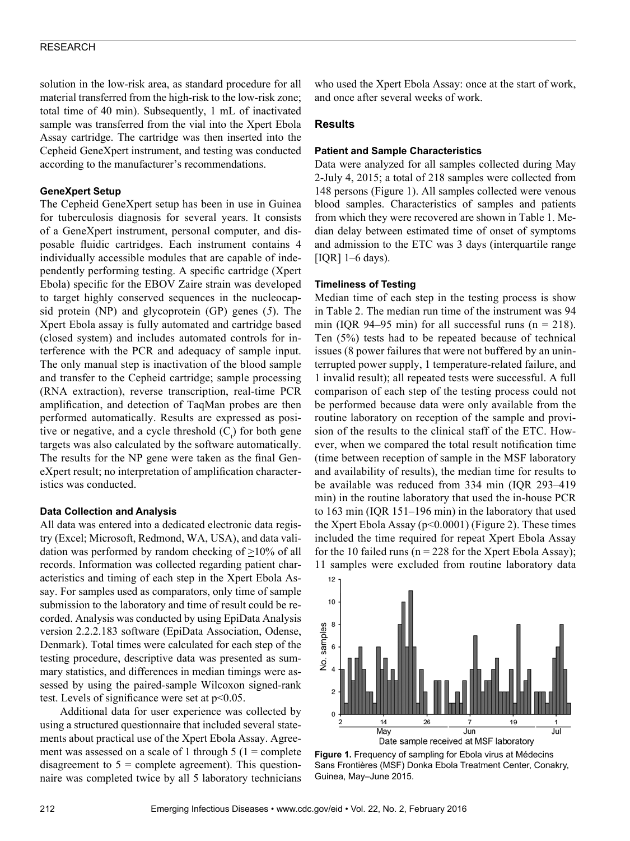#### RESEARCH

solution in the low-risk area, as standard procedure for all material transferred from the high-risk to the low-risk zone; total time of 40 min). Subsequently, 1 mL of inactivated sample was transferred from the vial into the Xpert Ebola Assay cartridge. The cartridge was then inserted into the Cepheid GeneXpert instrument, and testing was conducted according to the manufacturer's recommendations.

#### **GeneXpert Setup**

The Cepheid GeneXpert setup has been in use in Guinea for tuberculosis diagnosis for several years. It consists of a GeneXpert instrument, personal computer, and disposable fluidic cartridges. Each instrument contains 4 individually accessible modules that are capable of independently performing testing. A specific cartridge (Xpert Ebola) specific for the EBOV Zaire strain was developed to target highly conserved sequences in the nucleocapsid protein (NP) and glycoprotein (GP) genes (*5*). The Xpert Ebola assay is fully automated and cartridge based (closed system) and includes automated controls for interference with the PCR and adequacy of sample input. The only manual step is inactivation of the blood sample and transfer to the Cepheid cartridge; sample processing (RNA extraction), reverse transcription, real-time PCR amplification, and detection of TaqMan probes are then performed automatically. Results are expressed as positive or negative, and a cycle threshold  $(C<sub>t</sub>)$  for both gene targets was also calculated by the software automatically. The results for the NP gene were taken as the final GeneXpert result; no interpretation of amplification characteristics was conducted.

#### **Data Collection and Analysis**

All data was entered into a dedicated electronic data registry (Excel; Microsoft, Redmond, WA, USA), and data validation was performed by random checking of >10% of all records. Information was collected regarding patient characteristics and timing of each step in the Xpert Ebola Assay. For samples used as comparators, only time of sample submission to the laboratory and time of result could be recorded. Analysis was conducted by using EpiData Analysis version 2.2.2.183 software (EpiData Association, Odense, Denmark). Total times were calculated for each step of the testing procedure, descriptive data was presented as summary statistics, and differences in median timings were assessed by using the paired-sample Wilcoxon signed-rank test. Levels of significance were set at  $p<0.05$ .

Additional data for user experience was collected by using a structured questionnaire that included several statements about practical use of the Xpert Ebola Assay. Agreement was assessed on a scale of 1 through  $5(1 =$ complete disagreement to  $5 =$  complete agreement). This questionnaire was completed twice by all 5 laboratory technicians

who used the Xpert Ebola Assay: once at the start of work, and once after several weeks of work.

#### **Results**

#### **Patient and Sample Characteristics**

Data were analyzed for all samples collected during May 2-July 4, 2015; a total of 218 samples were collected from 148 persons (Figure 1). All samples collected were venous blood samples. Characteristics of samples and patients from which they were recovered are shown in Table 1. Median delay between estimated time of onset of symptoms and admission to the ETC was 3 days (interquartile range [IQR]  $1-6$  days).

#### **Timeliness of Testing**

Median time of each step in the testing process is show in Table 2. The median run time of the instrument was 94 min (IQR 94–95 min) for all successful runs  $(n = 218)$ . Ten (5%) tests had to be repeated because of technical issues (8 power failures that were not buffered by an uninterrupted power supply, 1 temperature-related failure, and 1 invalid result); all repeated tests were successful. A full comparison of each step of the testing process could not be performed because data were only available from the routine laboratory on reception of the sample and provision of the results to the clinical staff of the ETC. However, when we compared the total result notification time (time between reception of sample in the MSF laboratory and availability of results), the median time for results to be available was reduced from 334 min (IQR 293–419 min) in the routine laboratory that used the in-house PCR to 163 min (IQR 151–196 min) in the laboratory that used the Xpert Ebola Assay ( $p<0.0001$ ) (Figure 2). These times included the time required for repeat Xpert Ebola Assay for the 10 failed runs ( $n = 228$  for the Xpert Ebola Assay); 11 samples were excluded from routine laboratory data



**Figure 1.** Frequency of sampling for Ebola virus at Médecins Sans Frontières (MSF) Donka Ebola Treatment Center, Conakry, Guinea, May–June 2015.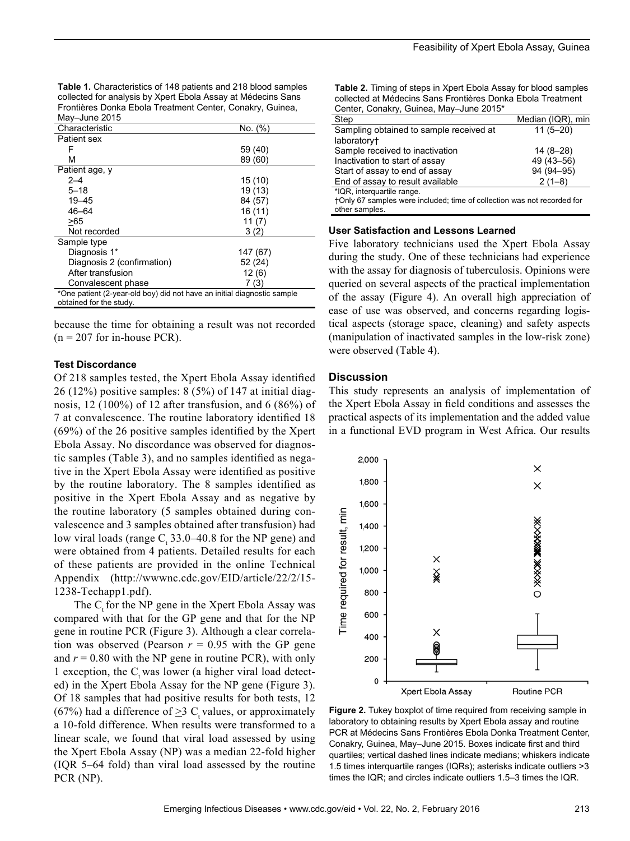**Table 1.** Characteristics of 148 patients and 218 blood samples collected for analysis by Xpert Ebola Assay at Médecins Sans Frontières Donka Ebola Treatment Center, Conakry, Guinea, May–June 2015

| Characteristic                                                                                     | No. (%)  |  |
|----------------------------------------------------------------------------------------------------|----------|--|
| Patient sex                                                                                        |          |  |
| F                                                                                                  | 59 (40)  |  |
| м                                                                                                  | 89 (60)  |  |
| Patient age, y                                                                                     |          |  |
| $2 - 4$                                                                                            | 15(10)   |  |
| $5 - 18$                                                                                           | 19 (13)  |  |
| 19–45                                                                                              | 84 (57)  |  |
| 46–64                                                                                              | 16 (11)  |  |
| >65                                                                                                | 11 $(7)$ |  |
| Not recorded                                                                                       | 3(2)     |  |
| Sample type                                                                                        |          |  |
| Diagnosis 1*                                                                                       | 147 (67) |  |
| Diagnosis 2 (confirmation)                                                                         | 52 (24)  |  |
| After transfusion                                                                                  | 12(6)    |  |
| Convalescent phase                                                                                 | 7 (3)    |  |
| *One patient (2-year-old boy) did not have an initial diagnostic sample<br>obtained for the study. |          |  |

because the time for obtaining a result was not recorded  $(n = 207$  for in-house PCR).

#### **Test Discordance**

Of 218 samples tested, the Xpert Ebola Assay identified 26 (12%) positive samples: 8 (5%) of 147 at initial diagnosis, 12 (100%) of 12 after transfusion, and 6 (86%) of 7 at convalescence. The routine laboratory identified 18 (69%) of the 26 positive samples identified by the Xpert Ebola Assay. No discordance was observed for diagnostic samples (Table 3), and no samples identified as negative in the Xpert Ebola Assay were identified as positive by the routine laboratory. The 8 samples identified as positive in the Xpert Ebola Assay and as negative by the routine laboratory (5 samples obtained during convalescence and 3 samples obtained after transfusion) had low viral loads (range  $C_t$ , 33.0–40.8 for the NP gene) and were obtained from 4 patients. Detailed results for each of these patients are provided in the online Technical Appendix (http://wwwnc.cdc.gov/EID/article/22/2/15- 1238-Techapp1.pdf).

The  $C<sub>t</sub>$  for the NP gene in the Xpert Ebola Assay was compared with that for the GP gene and that for the NP gene in routine PCR (Figure 3). Although a clear correlation was observed (Pearson  $r = 0.95$  with the GP gene and  $r = 0.80$  with the NP gene in routine PCR), with only 1 exception, the  $C_k$  was lower (a higher viral load detected) in the Xpert Ebola Assay for the NP gene (Figure 3). Of 18 samples that had positive results for both tests, 12 (67%) had a difference of  $\geq$ 3 C<sub>t</sub> values, or approximately a 10-fold difference. When results were transformed to a linear scale, we found that viral load assessed by using the Xpert Ebola Assay (NP) was a median 22-fold higher (IQR 5–64 fold) than viral load assessed by the routine PCR (NP).

| <b>Table 2.</b> Timing of steps in Xpert Ebola Assay for blood samples |
|------------------------------------------------------------------------|
| collected at Médecins Sans Frontières Donka Ebola Treatment            |
| Center, Conakry, Guinea, May-June 2015*                                |

| Step                                    | Median (IQR), min |
|-----------------------------------------|-------------------|
| Sampling obtained to sample received at | $11(5-20)$        |
| laboratory <sup>+</sup>                 |                   |
| Sample received to inactivation         | $14(8-28)$        |
| Inactivation to start of assay          | 49 (43-56)        |
| Start of assay to end of assay          | 94 (94-95)        |
| End of assay to result available        | $2(1-8)$          |
| *IQR, interquartile range.              |                   |
|                                         |                   |

†Only 67 samples were included; time of collection was not recorded for other samples.

#### **User Satisfaction and Lessons Learned**

Five laboratory technicians used the Xpert Ebola Assay during the study. One of these technicians had experience with the assay for diagnosis of tuberculosis. Opinions were queried on several aspects of the practical implementation of the assay (Figure 4). An overall high appreciation of ease of use was observed, and concerns regarding logistical aspects (storage space, cleaning) and safety aspects (manipulation of inactivated samples in the low-risk zone) were observed (Table 4).

#### **Discussion**

This study represents an analysis of implementation of the Xpert Ebola Assay in field conditions and assesses the practical aspects of its implementation and the added value in a functional EVD program in West Africa. Our results



**Figure 2.** Tukey boxplot of time required from receiving sample in laboratory to obtaining results by Xpert Ebola assay and routine PCR at Médecins Sans Frontières Ebola Donka Treatment Center, Conakry, Guinea, May–June 2015. Boxes indicate first and third quartiles; vertical dashed lines indicate medians; whiskers indicate 1.5 times interquartile ranges (IQRs); asterisks indicate outliers >3 times the IQR; and circles indicate outliers 1.5–3 times the IQR.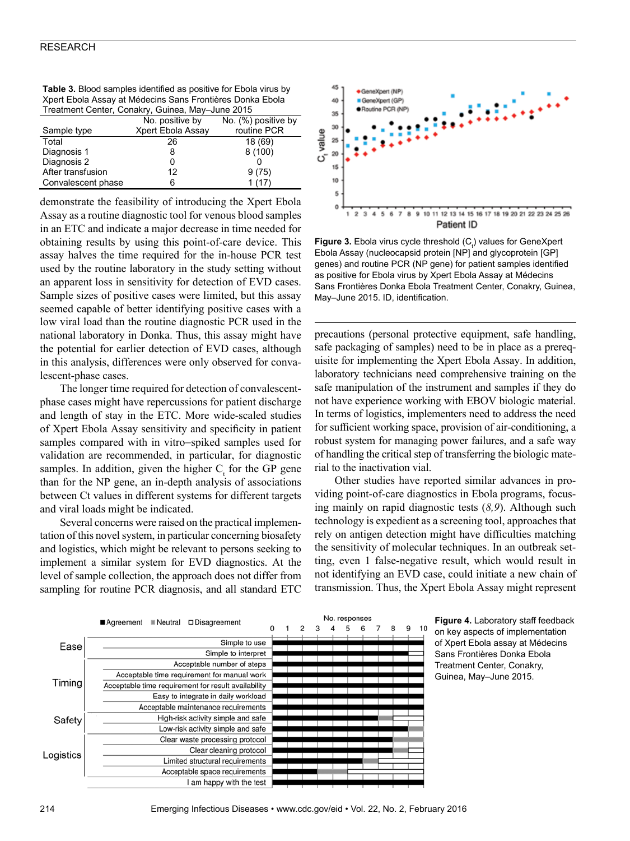#### RESEARCH

| <b>Table 3.</b> Blood samples identified as positive for Ebola virus by |
|-------------------------------------------------------------------------|
| Xpert Ebola Assay at Médecins Sans Frontières Donka Ebola               |
| Treatment Center, Conakry, Guinea, May-June 2015                        |

| 11000110110 00111011, 00110111 1, 00111001, 11101 |                   |                     |
|---------------------------------------------------|-------------------|---------------------|
|                                                   | No. positive by   | No. (%) positive by |
| Sample type                                       | Xpert Ebola Assay | routine PCR         |
| Total                                             | 26                | 18 (69)             |
| Diagnosis 1                                       | 8                 | 8(100)              |
| Diagnosis 2                                       | 0                 |                     |
| After transfusion                                 | 12                | 9(75)               |
| Convalescent phase                                | 6                 | 1(17)               |
|                                                   |                   |                     |

demonstrate the feasibility of introducing the Xpert Ebola Assay as a routine diagnostic tool for venous blood samples in an ETC and indicate a major decrease in time needed for obtaining results by using this point-of-care device. This assay halves the time required for the in-house PCR test used by the routine laboratory in the study setting without an apparent loss in sensitivity for detection of EVD cases. Sample sizes of positive cases were limited, but this assay seemed capable of better identifying positive cases with a low viral load than the routine diagnostic PCR used in the national laboratory in Donka. Thus, this assay might have the potential for earlier detection of EVD cases, although in this analysis, differences were only observed for convalescent-phase cases.

The longer time required for detection of convalescentphase cases might have repercussions for patient discharge and length of stay in the ETC. More wide-scaled studies of Xpert Ebola Assay sensitivity and specificity in patient samples compared with in vitro–spiked samples used for validation are recommended, in particular, for diagnostic samples. In addition, given the higher  $C<sub>t</sub>$  for the GP gene than for the NP gene, an in-depth analysis of associations between Ct values in different systems for different targets and viral loads might be indicated.

Several concerns were raised on the practical implementation of this novel system, in particular concerning biosafety and logistics, which might be relevant to persons seeking to implement a similar system for EVD diagnostics. At the level of sample collection, the approach does not differ from sampling for routine PCR diagnosis, and all standard ETC



**Figure 3.** Ebola virus cycle threshold  $(C_t)$  values for GeneXpert Ebola Assay (nucleocapsid protein [NP] and glycoprotein [GP] genes) and routine PCR (NP gene) for patient samples identified as positive for Ebola virus by Xpert Ebola Assay at Médecins Sans Frontières Donka Ebola Treatment Center, Conakry, Guinea, May–June 2015. ID, identification.

precautions (personal protective equipment, safe handling, safe packaging of samples) need to be in place as a prerequisite for implementing the Xpert Ebola Assay. In addition, laboratory technicians need comprehensive training on the safe manipulation of the instrument and samples if they do not have experience working with EBOV biologic material. In terms of logistics, implementers need to address the need for sufficient working space, provision of air-conditioning, a robust system for managing power failures, and a safe way of handling the critical step of transferring the biologic material to the inactivation vial.

Other studies have reported similar advances in providing point-of-care diagnostics in Ebola programs, focusing mainly on rapid diagnostic tests (*8,9*). Although such technology is expedient as a screening tool, approaches that rely on antigen detection might have difficulties matching the sensitivity of molecular techniques. In an outbreak setting, even 1 false-negative result, which would result in not identifying an EVD case, could initiate a new chain of transmission. Thus, the Xpert Ebola Assay might represent



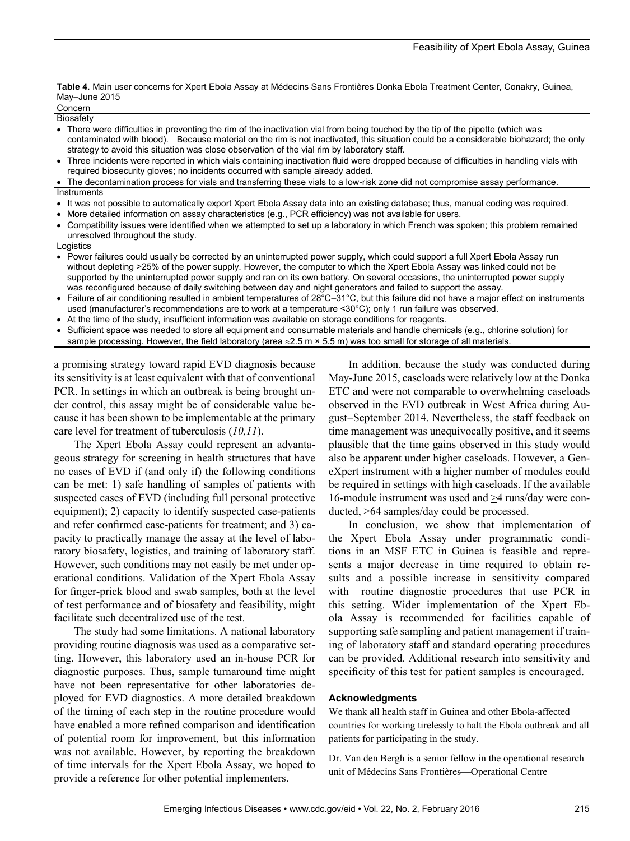**Table 4.** Main user concerns for Xpert Ebola Assay at Médecins Sans Frontières Donka Ebola Treatment Center, Conakry, Guinea, May–June 2015

| .oncem    |
|-----------|
| Biosafetv |

- There were difficulties in preventing the rim of the inactivation vial from being touched by the tip of the pipette (which was contaminated with blood). Because material on the rim is not inactivated, this situation could be a considerable biohazard; the only strategy to avoid this situation was close observation of the vial rim by laboratory staff.
- Three incidents were reported in which vials containing inactivation fluid were dropped because of difficulties in handling vials with required biosecurity gloves; no incidents occurred with sample already added.
- The decontamination process for vials and transferring these vials to a low-risk zone did not compromise assay performance. **Instruments**
- It was not possible to automatically export Xpert Ebola Assay data into an existing database; thus, manual coding was required.
- More detailed information on assay characteristics (e.g., PCR efficiency) was not available for users.
- Compatibility issues were identified when we attempted to set up a laboratory in which French was spoken; this problem remained unresolved throughout the study.
- Logistics
- Power failures could usually be corrected by an uninterrupted power supply, which could support a full Xpert Ebola Assay run without depleting >25% of the power supply. However, the computer to which the Xpert Ebola Assay was linked could not be supported by the uninterrupted power supply and ran on its own battery. On several occasions, the uninterrupted power supply was reconfigured because of daily switching between day and night generators and failed to support the assay.
- Failure of air conditioning resulted in ambient temperatures of 28°C–31°C, but this failure did not have a major effect on instruments used (manufacturer's recommendations are to work at a temperature <30°C); only 1 run failure was observed.
- At the time of the study, insufficient information was available on storage conditions for reagents.
- Sufficient space was needed to store all equipment and consumable materials and handle chemicals (e.g., chlorine solution) for sample processing. However, the field laboratory (area  $\approx$  2.5 m  $\times$  5.5 m) was too small for storage of all materials.

a promising strategy toward rapid EVD diagnosis because its sensitivity is at least equivalent with that of conventional PCR. In settings in which an outbreak is being brought under control, this assay might be of considerable value because it has been shown to be implementable at the primary care level for treatment of tuberculosis (*10,11*).

The Xpert Ebola Assay could represent an advantageous strategy for screening in health structures that have no cases of EVD if (and only if) the following conditions can be met: 1) safe handling of samples of patients with suspected cases of EVD (including full personal protective equipment); 2) capacity to identify suspected case-patients and refer confirmed case-patients for treatment; and 3) capacity to practically manage the assay at the level of laboratory biosafety, logistics, and training of laboratory staff. However, such conditions may not easily be met under operational conditions. Validation of the Xpert Ebola Assay for finger-prick blood and swab samples, both at the level of test performance and of biosafety and feasibility, might facilitate such decentralized use of the test.

The study had some limitations. A national laboratory providing routine diagnosis was used as a comparative setting. However, this laboratory used an in-house PCR for diagnostic purposes. Thus, sample turnaround time might have not been representative for other laboratories deployed for EVD diagnostics. A more detailed breakdown of the timing of each step in the routine procedure would have enabled a more refined comparison and identification of potential room for improvement, but this information was not available. However, by reporting the breakdown of time intervals for the Xpert Ebola Assay, we hoped to provide a reference for other potential implementers.

In addition, because the study was conducted during May-June 2015, caseloads were relatively low at the Donka ETC and were not comparable to overwhelming caseloads observed in the EVD outbreak in West Africa during August−September 2014. Nevertheless, the staff feedback on time management was unequivocally positive, and it seems plausible that the time gains observed in this study would also be apparent under higher caseloads. However, a GeneXpert instrument with a higher number of modules could be required in settings with high caseloads. If the available 16-module instrument was used and  $\geq$ 4 runs/day were conducted,  $\geq 64$  samples/day could be processed.

In conclusion, we show that implementation of the Xpert Ebola Assay under programmatic conditions in an MSF ETC in Guinea is feasible and represents a major decrease in time required to obtain results and a possible increase in sensitivity compared with routine diagnostic procedures that use PCR in this setting. Wider implementation of the Xpert Ebola Assay is recommended for facilities capable of supporting safe sampling and patient management if training of laboratory staff and standard operating procedures can be provided. Additional research into sensitivity and specificity of this test for patient samples is encouraged.

#### **Acknowledgments**

We thank all health staff in Guinea and other Ebola-affected countries for working tirelessly to halt the Ebola outbreak and all patients for participating in the study.

Dr. Van den Bergh is a senior fellow in the operational research unit of Médecins Sans Frontières-Operational Centre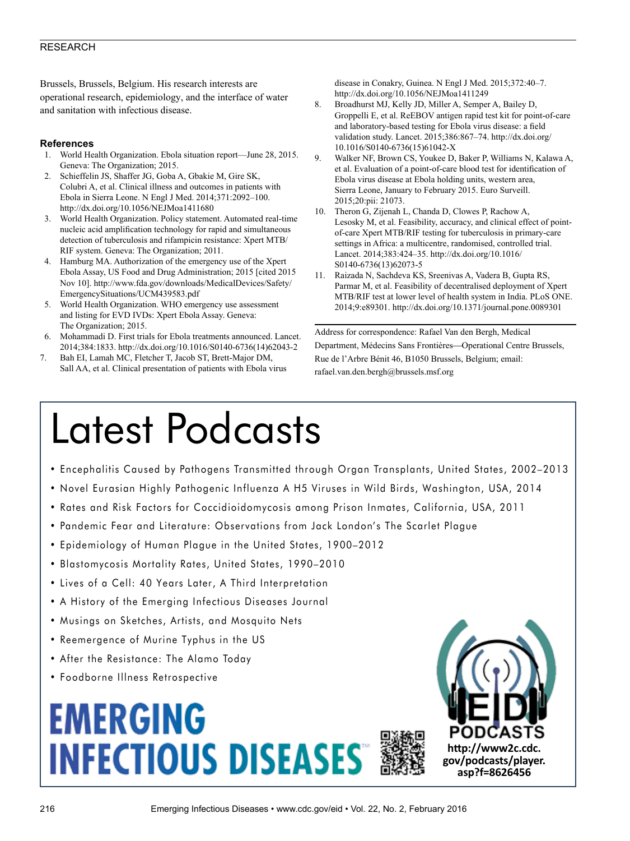#### RESEARCH

Brussels, Brussels, Belgium. His research interests are operational research, epidemiology, and the interface of water and sanitation with infectious disease.

#### **References**

- 1. World Health Organization. Ebola situation report—June 28, 2015. Geneva: The Organization; 2015.
- 2. Schieffelin JS, Shaffer JG, Goba A, Gbakie M, Gire SK, Colubri A, et al. Clinical illness and outcomes in patients with Ebola in Sierra Leone. N Engl J Med. 2014;371:2092–100. http://dx.doi.org/10.1056/NEJMoa1411680
- 3. World Health Organization. Policy statement. Automated real-time nucleic acid amplification technology for rapid and simultaneous detection of tuberculosis and rifampicin resistance: Xpert MTB/ RIF system. Geneva: The Organization; 2011.
- 4. Hamburg MA. Authorization of the emergency use of the Xpert Ebola Assay, US Food and Drug Administration; 2015 [cited 2015 Nov 10]. http://www.fda.gov/downloads/MedicalDevices/Safety/ EmergencySituations/UCM439583.pdf
- 5. World Health Organization. WHO emergency use assessment and listing for EVD IVDs: Xpert Ebola Assay. Geneva: The Organization; 2015.
- 6. Mohammadi D. First trials for Ebola treatments announced. Lancet. 2014;384:1833. http://dx.doi.org/10.1016/S0140-6736(14)62043-2
- 7. Bah EI, Lamah MC, Fletcher T, Jacob ST, Brett-Major DM, Sall AA, et al. Clinical presentation of patients with Ebola virus

disease in Conakry, Guinea. N Engl J Med. 2015;372:40–7. http://dx.doi.org/10.1056/NEJMoa1411249

- 8. Broadhurst MJ, Kelly JD, Miller A, Semper A, Bailey D, Groppelli E, et al. ReEBOV antigen rapid test kit for point-of-care and laboratory-based testing for Ebola virus disease: a field validation study. Lancet. 2015;386:867–74. http://dx.doi.org/ 10.1016/S0140-6736(15)61042-X
- 9. Walker NF, Brown CS, Youkee D, Baker P, Williams N, Kalawa A, et al. Evaluation of a point-of-care blood test for identification of Ebola virus disease at Ebola holding units, western area, Sierra Leone, January to February 2015. Euro Surveill. 2015;20:pii: 21073.
- 10. Theron G, Zijenah L, Chanda D, Clowes P, Rachow A, Lesosky M, et al. Feasibility, accuracy, and clinical effect of pointof-care Xpert MTB/RIF testing for tuberculosis in primary-care settings in Africa: a multicentre, randomised, controlled trial. Lancet. 2014;383:424–35. http://dx.doi.org/10.1016/ S0140-6736(13)62073-5
- 11. Raizada N, Sachdeva KS, Sreenivas A, Vadera B, Gupta RS, Parmar M, et al. Feasibility of decentralised deployment of Xpert MTB/RIF test at lower level of health system in India. PLoS ONE. 2014;9:e89301. http://dx.doi.org/10.1371/journal.pone.0089301

Address for correspondence: Rafael Van den Bergh, Medical Department, Médecins Sans Frontières-Operational Centre Brussels, Rue de l'Arbre Bénit 46, B1050 Brussels, Belgium; email: rafael.van.den.bergh@brussels.msf.org

## Latest Podcasts

- Encephalitis Caused by Pathogens Transmitted through Organ Transplants, United States, 2002–2013
- Novel Eurasian Highly Pathogenic Influenza A H5 Viruses in Wild Birds, Washington, USA, 2014
- Rates and Risk Factors for Coccidioidomycosis among Prison Inmates, California, USA, 2011
- Pandemic Fear and Literature: Observations from Jack London's The Scarlet Plague
- Epidemiology of Human Plague in the United States, 1900–2012
- Blastomycosis Mortality Rates, United States, 1990–2010
- Lives of a Cell: 40 Years Later, A Third Interpretation
- A History of the Emerging Infectious Diseases Journal
- Musings on Sketches, Artists, and Mosquito Nets
- Reemergence of Murine Typhus in the US
- After the Resistance: The Alamo Today
- Foodborne Illness Retrospective

# **EMERGING INFECTIOUS DISEASES**